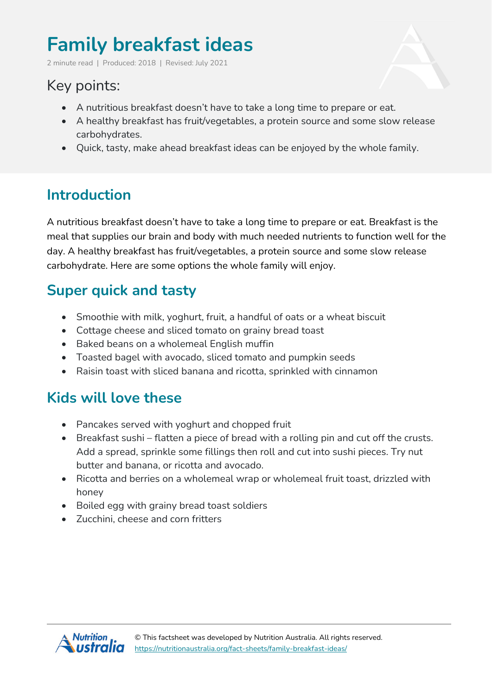# **Family breakfast ideas**

2 minute read | Produced: 2018 | Revised: July 2021

## Key points:

- A nutritious breakfast doesn't have to take a long time to prepare or eat.
- A healthy breakfast has fruit/vegetables, a protein source and some slow release carbohydrates.
- Quick, tasty, make ahead breakfast ideas can be enjoyed by the whole family.

### **Introduction**

A nutritious breakfast doesn't have to take a long time to prepare or eat. Breakfast is the meal that supplies our brain and body with much needed nutrients to function well for the day. A healthy breakfast has fruit/vegetables, a protein source and some slow release carbohydrate. Here are some options the whole family will enjoy.

### **Super quick and tasty**

- Smoothie with milk, yoghurt, fruit, a handful of oats or a wheat biscuit
- Cottage cheese and sliced tomato on grainy bread toast
- Baked beans on a wholemeal English muffin
- Toasted bagel with avocado, sliced tomato and pumpkin seeds
- Raisin toast with sliced banana and ricotta, sprinkled with cinnamon

#### **Kids will love these**

- Pancakes served with yoghurt and chopped fruit
- Breakfast sushi flatten a piece of bread with a rolling pin and cut off the crusts. Add a spread, sprinkle some fillings then roll and cut into sushi pieces. Try nut butter and banana, or ricotta and avocado.
- Ricotta and berries on a wholemeal wrap or wholemeal fruit toast, drizzled with honey
- Boiled egg with grainy bread toast soldiers
- Zucchini, cheese and corn fritters